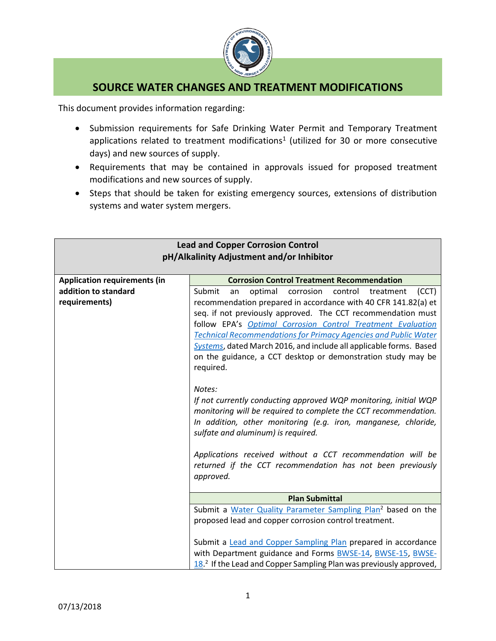

## **SOURCE WATER CHANGES AND TREATMENT MODIFICATIONS**

This document provides information regarding:

- Submission requirements for Safe Drinking Water Permit and Temporary Treatment applications related to treatment modifications<sup>1</sup> (utilized for 30 or more consecutive days) and new sources of supply.
- Requirements that may be contained in approvals issued for proposed treatment modifications and new sources of supply.
- Steps that should be taken for existing emergency sources, extensions of distribution systems and water system mergers.

| <b>Lead and Copper Corrosion Control</b><br>pH/Alkalinity Adjustment and/or Inhibitor |                                                                                                                                              |
|---------------------------------------------------------------------------------------|----------------------------------------------------------------------------------------------------------------------------------------------|
| <b>Application requirements (in</b>                                                   | <b>Corrosion Control Treatment Recommendation</b>                                                                                            |
| addition to standard                                                                  | Submit<br>optimal<br>corrosion<br>control<br>(CCT)<br>treatment<br>an                                                                        |
| requirements)                                                                         | recommendation prepared in accordance with 40 CFR 141.82(a) et                                                                               |
|                                                                                       | seq. if not previously approved. The CCT recommendation must                                                                                 |
|                                                                                       | follow EPA's Optimal Corrosion Control Treatment Evaluation                                                                                  |
|                                                                                       | <b>Technical Recommendations for Primacy Agencies and Public Water</b>                                                                       |
|                                                                                       | Systems, dated March 2016, and include all applicable forms. Based                                                                           |
|                                                                                       | on the guidance, a CCT desktop or demonstration study may be                                                                                 |
|                                                                                       | required.                                                                                                                                    |
|                                                                                       |                                                                                                                                              |
|                                                                                       | Notes:                                                                                                                                       |
|                                                                                       | If not currently conducting approved WQP monitoring, initial WQP                                                                             |
|                                                                                       | monitoring will be required to complete the CCT recommendation.                                                                              |
|                                                                                       | In addition, other monitoring (e.g. iron, manganese, chloride,                                                                               |
|                                                                                       | sulfate and aluminum) is required.                                                                                                           |
|                                                                                       |                                                                                                                                              |
|                                                                                       | Applications received without a CCT recommendation will be                                                                                   |
|                                                                                       | returned if the CCT recommendation has not been previously                                                                                   |
|                                                                                       | approved.                                                                                                                                    |
|                                                                                       | <b>Plan Submittal</b>                                                                                                                        |
|                                                                                       |                                                                                                                                              |
|                                                                                       | Submit a Water Quality Parameter Sampling Plan <sup>2</sup> based on the                                                                     |
|                                                                                       | proposed lead and copper corrosion control treatment.                                                                                        |
|                                                                                       |                                                                                                                                              |
|                                                                                       | Submit a <b>Lead and Copper Sampling Plan prepared in accordance</b>                                                                         |
|                                                                                       | with Department guidance and Forms BWSE-14, BWSE-15, BWSE-<br>18. <sup>2</sup> If the Lead and Copper Sampling Plan was previously approved, |
|                                                                                       |                                                                                                                                              |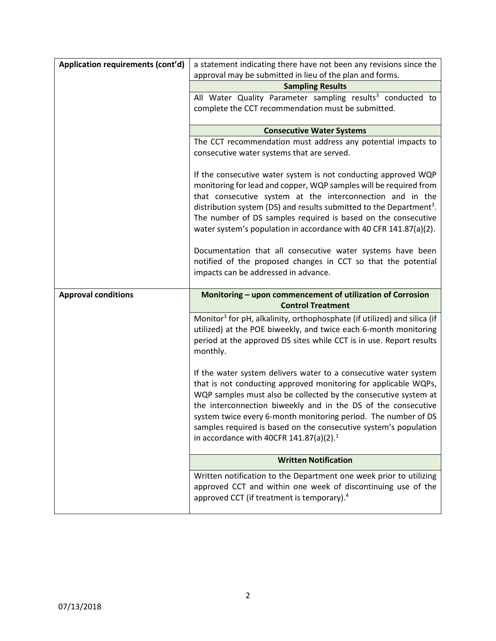| Application requirements (cont'd) | a statement indicating there have not been any revisions since the                                                                 |
|-----------------------------------|------------------------------------------------------------------------------------------------------------------------------------|
|                                   | approval may be submitted in lieu of the plan and forms.                                                                           |
|                                   | <b>Sampling Results</b><br>All Water Quality Parameter sampling results <sup>3</sup> conducted to                                  |
|                                   | complete the CCT recommendation must be submitted.                                                                                 |
|                                   |                                                                                                                                    |
|                                   | <b>Consecutive Water Systems</b>                                                                                                   |
|                                   | The CCT recommendation must address any potential impacts to                                                                       |
|                                   | consecutive water systems that are served.                                                                                         |
|                                   | If the consecutive water system is not conducting approved WQP                                                                     |
|                                   | monitoring for lead and copper, WQP samples will be required from                                                                  |
|                                   | that consecutive system at the interconnection and in the                                                                          |
|                                   | distribution system (DS) and results submitted to the Department <sup>3</sup> .                                                    |
|                                   | The number of DS samples required is based on the consecutive<br>water system's population in accordance with 40 CFR 141.87(a)(2). |
|                                   |                                                                                                                                    |
|                                   | Documentation that all consecutive water systems have been                                                                         |
|                                   | notified of the proposed changes in CCT so that the potential                                                                      |
|                                   | impacts can be addressed in advance.                                                                                               |
|                                   |                                                                                                                                    |
|                                   |                                                                                                                                    |
| <b>Approval conditions</b>        | Monitoring - upon commencement of utilization of Corrosion<br><b>Control Treatment</b>                                             |
|                                   | Monitor <sup>3</sup> for pH, alkalinity, orthophosphate (if utilized) and silica (if                                               |
|                                   | utilized) at the POE biweekly, and twice each 6-month monitoring                                                                   |
|                                   | period at the approved DS sites while CCT is in use. Report results                                                                |
|                                   | monthly.                                                                                                                           |
|                                   | If the water system delivers water to a consecutive water system                                                                   |
|                                   | that is not conducting approved monitoring for applicable WQPs,                                                                    |
|                                   | WQP samples must also be collected by the consecutive system at                                                                    |
|                                   | the interconnection biweekly and in the DS of the consecutive                                                                      |
|                                   | system twice every 6-month monitoring period. The number of DS                                                                     |
|                                   | samples required is based on the consecutive system's population                                                                   |
|                                   | in accordance with 40CFR 141.87(a)(2). <sup>1</sup>                                                                                |
|                                   | <b>Written Notification</b>                                                                                                        |
|                                   | Written notification to the Department one week prior to utilizing                                                                 |
|                                   | approved CCT and within one week of discontinuing use of the<br>approved CCT (if treatment is temporary). <sup>4</sup>             |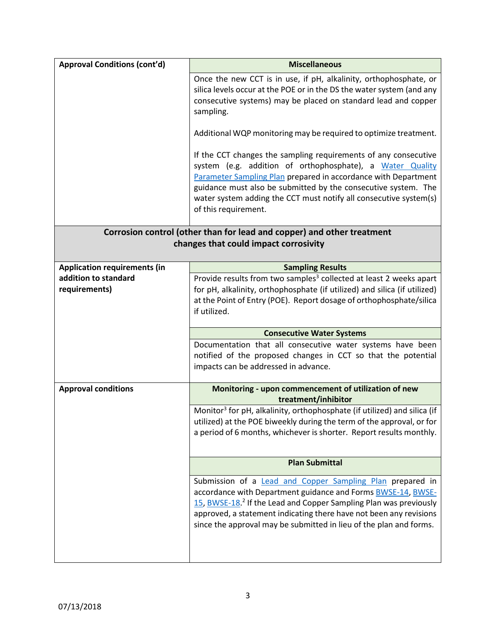| <b>Approval Conditions (cont'd)</b>                                                                             | <b>Miscellaneous</b>                                                                                                                                                                                                                                                                                                                                          |  |
|-----------------------------------------------------------------------------------------------------------------|---------------------------------------------------------------------------------------------------------------------------------------------------------------------------------------------------------------------------------------------------------------------------------------------------------------------------------------------------------------|--|
|                                                                                                                 | Once the new CCT is in use, if pH, alkalinity, orthophosphate, or<br>silica levels occur at the POE or in the DS the water system (and any<br>consecutive systems) may be placed on standard lead and copper<br>sampling.                                                                                                                                     |  |
|                                                                                                                 | Additional WQP monitoring may be required to optimize treatment.                                                                                                                                                                                                                                                                                              |  |
|                                                                                                                 | If the CCT changes the sampling requirements of any consecutive<br>system (e.g. addition of orthophosphate), a Water Quality<br>Parameter Sampling Plan prepared in accordance with Department<br>guidance must also be submitted by the consecutive system. The<br>water system adding the CCT must notify all consecutive system(s)<br>of this requirement. |  |
| Corrosion control (other than for lead and copper) and other treatment<br>changes that could impact corrosivity |                                                                                                                                                                                                                                                                                                                                                               |  |
| <b>Application requirements (in</b>                                                                             | <b>Sampling Results</b>                                                                                                                                                                                                                                                                                                                                       |  |
| addition to standard                                                                                            | Provide results from two samples <sup>3</sup> collected at least 2 weeks apart                                                                                                                                                                                                                                                                                |  |
| requirements)                                                                                                   | for pH, alkalinity, orthophosphate (if utilized) and silica (if utilized)                                                                                                                                                                                                                                                                                     |  |
|                                                                                                                 | at the Point of Entry (POE). Report dosage of orthophosphate/silica<br>if utilized.                                                                                                                                                                                                                                                                           |  |
|                                                                                                                 | <b>Consecutive Water Systems</b>                                                                                                                                                                                                                                                                                                                              |  |
|                                                                                                                 | Documentation that all consecutive water systems have been<br>notified of the proposed changes in CCT so that the potential<br>impacts can be addressed in advance.                                                                                                                                                                                           |  |
| <b>Approval conditions</b>                                                                                      | Monitoring - upon commencement of utilization of new                                                                                                                                                                                                                                                                                                          |  |
|                                                                                                                 | treatment/inhibitor                                                                                                                                                                                                                                                                                                                                           |  |
|                                                                                                                 | Monitor <sup>3</sup> for pH, alkalinity, orthophosphate (if utilized) and silica (if<br>utilized) at the POE biweekly during the term of the approval, or for<br>a period of 6 months, whichever is shorter. Report results monthly.                                                                                                                          |  |
|                                                                                                                 | <b>Plan Submittal</b>                                                                                                                                                                                                                                                                                                                                         |  |
|                                                                                                                 | Submission of a <b>Lead and Copper Sampling Plan</b> prepared in<br>accordance with Department guidance and Forms BWSE-14, BWSE-<br>15, BWSE-18. <sup>2</sup> If the Lead and Copper Sampling Plan was previously<br>approved, a statement indicating there have not been any revisions<br>since the approval may be submitted in lieu of the plan and forms. |  |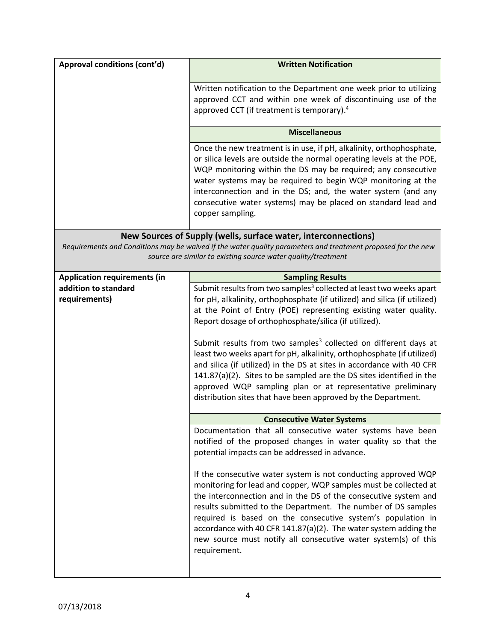| Approval conditions (cont'd)                                                                                                                                                  | <b>Written Notification</b>                                                                                                                                                                                                                                                                                                                                                                                                                                                                 |
|-------------------------------------------------------------------------------------------------------------------------------------------------------------------------------|---------------------------------------------------------------------------------------------------------------------------------------------------------------------------------------------------------------------------------------------------------------------------------------------------------------------------------------------------------------------------------------------------------------------------------------------------------------------------------------------|
|                                                                                                                                                                               | Written notification to the Department one week prior to utilizing<br>approved CCT and within one week of discontinuing use of the<br>approved CCT (if treatment is temporary). <sup>4</sup>                                                                                                                                                                                                                                                                                                |
|                                                                                                                                                                               | <b>Miscellaneous</b>                                                                                                                                                                                                                                                                                                                                                                                                                                                                        |
|                                                                                                                                                                               | Once the new treatment is in use, if pH, alkalinity, orthophosphate,<br>or silica levels are outside the normal operating levels at the POE,<br>WQP monitoring within the DS may be required; any consecutive<br>water systems may be required to begin WQP monitoring at the<br>interconnection and in the DS; and, the water system (and any<br>consecutive water systems) may be placed on standard lead and<br>copper sampling.                                                         |
| New Sources of Supply (wells, surface water, interconnections)                                                                                                                |                                                                                                                                                                                                                                                                                                                                                                                                                                                                                             |
| Requirements and Conditions may be waived if the water quality parameters and treatment proposed for the new<br>source are similar to existing source water quality/treatment |                                                                                                                                                                                                                                                                                                                                                                                                                                                                                             |
| <b>Application requirements (in</b>                                                                                                                                           | <b>Sampling Results</b>                                                                                                                                                                                                                                                                                                                                                                                                                                                                     |
| addition to standard                                                                                                                                                          | Submit results from two samples <sup>3</sup> collected at least two weeks apart                                                                                                                                                                                                                                                                                                                                                                                                             |
| requirements)                                                                                                                                                                 | for pH, alkalinity, orthophosphate (if utilized) and silica (if utilized)<br>at the Point of Entry (POE) representing existing water quality.<br>Report dosage of orthophosphate/silica (if utilized).                                                                                                                                                                                                                                                                                      |
|                                                                                                                                                                               | Submit results from two samples <sup>3</sup> collected on different days at<br>least two weeks apart for pH, alkalinity, orthophosphate (if utilized)<br>and silica (if utilized) in the DS at sites in accordance with 40 CFR<br>141.87(a)(2). Sites to be sampled are the DS sites identified in the<br>approved WQP sampling plan or at representative preliminary<br>distribution sites that have been approved by the Department.                                                      |
|                                                                                                                                                                               | <b>Consecutive Water Systems</b>                                                                                                                                                                                                                                                                                                                                                                                                                                                            |
|                                                                                                                                                                               | Documentation that all consecutive water systems have been<br>notified of the proposed changes in water quality so that the<br>potential impacts can be addressed in advance.                                                                                                                                                                                                                                                                                                               |
|                                                                                                                                                                               | If the consecutive water system is not conducting approved WQP<br>monitoring for lead and copper, WQP samples must be collected at<br>the interconnection and in the DS of the consecutive system and<br>results submitted to the Department. The number of DS samples<br>required is based on the consecutive system's population in<br>accordance with 40 CFR 141.87(a)(2). The water system adding the<br>new source must notify all consecutive water system(s) of this<br>requirement. |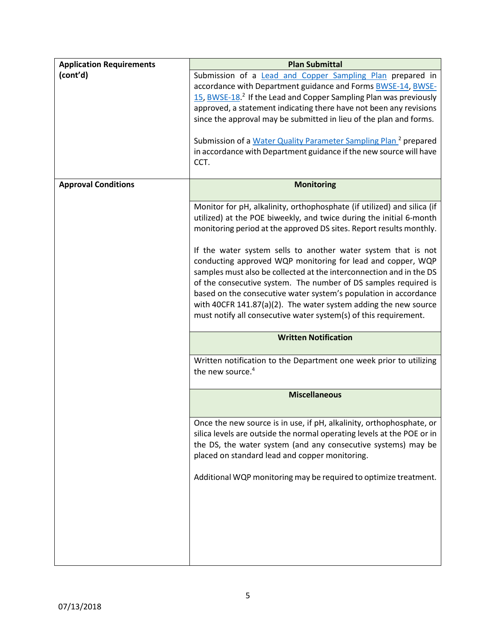| <b>Application Requirements</b> | <b>Plan Submittal</b>                                                                                                                                                                                                                                                                                                                                                                                                                                                                                                                                                                                                                                                                                      |
|---------------------------------|------------------------------------------------------------------------------------------------------------------------------------------------------------------------------------------------------------------------------------------------------------------------------------------------------------------------------------------------------------------------------------------------------------------------------------------------------------------------------------------------------------------------------------------------------------------------------------------------------------------------------------------------------------------------------------------------------------|
| (cont'd)                        | Submission of a <b>Lead and Copper Sampling Plan</b> prepared in<br>accordance with Department guidance and Forms BWSE-14, BWSE-<br>15, BWSE-18. <sup>2</sup> If the Lead and Copper Sampling Plan was previously<br>approved, a statement indicating there have not been any revisions<br>since the approval may be submitted in lieu of the plan and forms.<br>Submission of a Water Quality Parameter Sampling Plan <sup>2</sup> prepared<br>in accordance with Department guidance if the new source will have<br>CCT.                                                                                                                                                                                 |
| <b>Approval Conditions</b>      | <b>Monitoring</b>                                                                                                                                                                                                                                                                                                                                                                                                                                                                                                                                                                                                                                                                                          |
|                                 | Monitor for pH, alkalinity, orthophosphate (if utilized) and silica (if<br>utilized) at the POE biweekly, and twice during the initial 6-month<br>monitoring period at the approved DS sites. Report results monthly.<br>If the water system sells to another water system that is not<br>conducting approved WQP monitoring for lead and copper, WQP<br>samples must also be collected at the interconnection and in the DS<br>of the consecutive system. The number of DS samples required is<br>based on the consecutive water system's population in accordance<br>with 40CFR 141.87(a)(2). The water system adding the new source<br>must notify all consecutive water system(s) of this requirement. |
|                                 | <b>Written Notification</b>                                                                                                                                                                                                                                                                                                                                                                                                                                                                                                                                                                                                                                                                                |
|                                 | Written notification to the Department one week prior to utilizing<br>the new source. <sup>4</sup>                                                                                                                                                                                                                                                                                                                                                                                                                                                                                                                                                                                                         |
|                                 | <b>Miscellaneous</b>                                                                                                                                                                                                                                                                                                                                                                                                                                                                                                                                                                                                                                                                                       |
|                                 | Once the new source is in use, if pH, alkalinity, orthophosphate, or<br>silica levels are outside the normal operating levels at the POE or in<br>the DS, the water system (and any consecutive systems) may be<br>placed on standard lead and copper monitoring.<br>Additional WQP monitoring may be required to optimize treatment.                                                                                                                                                                                                                                                                                                                                                                      |
|                                 |                                                                                                                                                                                                                                                                                                                                                                                                                                                                                                                                                                                                                                                                                                            |